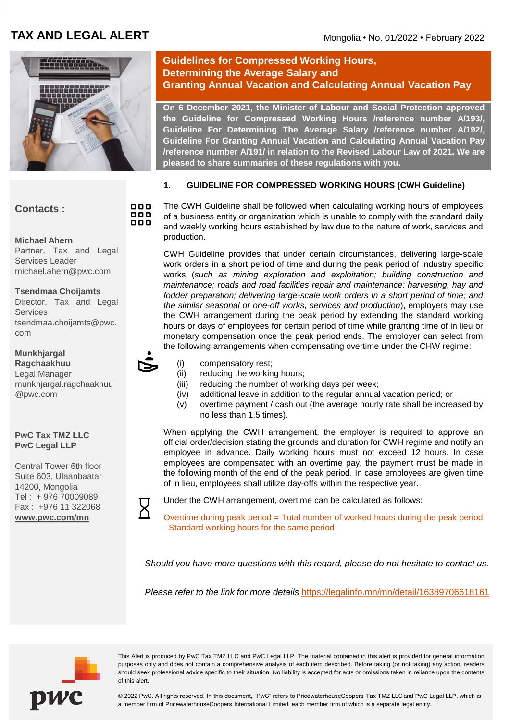# **TAX AND LEGAL ALERT** Mongolia • No. 01/2022 • February 2022



# **Contacts :**

**Michael Ahern** Partner, Tax and Legal Services Leader michael.ahern@pwc.com

**Tsendmaa Choijamts** Director, Tax and Legal **Services** tsendmaa.choijamts@pwc. com

**Munkhjargal Ragchaakhuu** Legal Manager munkhjargal.ragchaakhuu @pwc.com

#### **PwC Tax TMZ LLC PwC Legal LLP**

Central Tower 6th floor Suite 603, Ulaanbaatar 14200, Mongolia Tel : + 976 70009089 Fax : +976 11 322068 **[www.pwc.com/mn](http://www.pwc.com/mn)**

## **Guidelines for Compressed Working Hours, Determining the Average Salary and Granting Annual Vacation and Calculating Annual Vacation Pay**

**On 6 December 2021, the Minister of Labour and Social Protection approved the Guideline for Compressed Working Hours /reference number A/193/, Guideline For Determining The Average Salary /reference number A/192/, Guideline For Granting Annual Vacation and Calculating Annual Vacation Pay /reference number A/191/ in relation to the Revised Labour Law of 2021. We are pleased to share summaries of these regulations with you.**

## **1. GUIDELINE FOR COMPRESSED WORKING HOURS (CWH Guideline)**

The CWH Guideline shall be followed when calculating working hours of employees of a business entity or organization which is unable to comply with the standard daily and weekly working hours established by law due to the nature of work, services and production.

CWH Guideline provides that under certain circumstances, delivering large-scale work orders in a short period of time and during the peak period of industry specific works (*such as mining exploration and exploitation; building construction and maintenance; roads and road facilities repair and maintenance; harvesting, hay and fodder preparation; delivering large-scale work orders in a short period of time; and the similar seasonal or one-off works, services and production*), employers may use the CWH arrangement during the peak period by extending the standard working hours or days of employees for certain period of time while granting time of in lieu or monetary compensation once the peak period ends. The employer can select from the following arrangements when compensating overtime under the CHW regime:

- (i) compensatory rest;
- (ii) reducing the working hours;
- (iii) reducing the number of working days per week;
- (iv) additional leave in addition to the regular annual vacation period; or
- (v) overtime payment / cash out (the average hourly rate shall be increased by no less than 1.5 times).

When applying the CWH arrangement, the employer is required to approve an official order/decision stating the grounds and duration for CWH regime and notify an employee in advance. Daily working hours must not exceed 12 hours. In case employees are compensated with an overtime pay, the payment must be made in the following month of the end of the peak period. In case employees are given time of in lieu, employees shall utilize day-offs within the respective year.

Under the CWH arrangement, overtime can be calculated as follows:

Overtime during peak period = Total number of worked hours during the peak period - Standard working hours for the same period

*Should you have more questions with this regard, please do not hesitate to contact us.*

*Please refer to the link for more details* <https://legalinfo.mn/mn/detail/16389706618161>



This Alert is produced by PwC Tax TMZ LLC and PwC Legal LLP. The material contained in this alert is provided for general information purposes only and does not contain a comprehensive analysis of each item described. Before taking (or not taking) any action, readers should seek professional advice specific to their situation. No liability is accepted for acts or omissions taken in reliance upon the contents of this alert.

© 2022 PwC. All rights reserved. In this document, "PwC" refers to PricewaterhouseCoopers Tax TMZ LLC and PwC Legal LLP, which is a member firm of PricewaterhouseCoopers International Limited, each member firm of which is a separate legal entity.

000 000 888

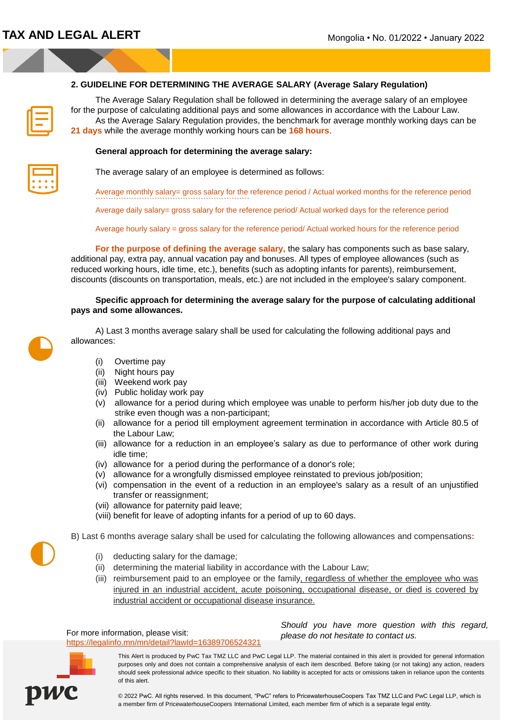### **2. GUIDELINE FOR DETERMINING THE AVERAGE SALARY (Average Salary Regulation)**

| ۰ |  |
|---|--|

The Average Salary Regulation shall be followed in determining the average salary of an employee for the purpose of calculating additional pays and some allowances in accordance with the Labour Law. As the Average Salary Regulation provides, the benchmark for average monthly working days can be **21 days** while the average monthly working hours can be **168 hours**.

#### **General approach for determining the average salary:**

The average salary of an employee is determined as follows:

Average monthly salary= gross salary for the reference period / Actual worked months for the reference period ````````````````````````````````````````````````````````````

Average daily salary= gross salary for the reference period/ Actual worked days for the reference period

Average hourly salary = gross salary for the reference period/ Actual worked hours for the reference period

**For the purpose of defining the average salary,** the salary has components such as base salary, additional pay, extra pay, annual vacation pay and bonuses. All types of employee allowances (such as reduced working hours, idle time, etc.), benefits (such as adopting infants for parents), reimbursement, discounts (discounts on transportation, meals, etc.) are not included in the employee's salary component.

#### **Specific approach for determining the average salary for the purpose of calculating additional pays and some allowances.**

A) Last 3 months average salary shall be used for calculating the following additional pays and allowances:

- (i) Overtime pay
- (ii) Night hours pay
- (iii) Weekend work pay
- (iv) Public holiday work pay
- (v) allowance for a period during which employee was unable to perform his/her job duty due to the strike even though was a non-participant;
- (ii) allowance for a period till employment agreement termination in accordance with Article 80.5 of the Labour Law;
- (iii) allowance for a reduction in an employee's salary as due to performance of other work during idle time;
- (iv) allowance for a period during the performance of a donor's role;
- (v) allowance for a wrongfully dismissed employee reinstated to previous job/position;
- (vi) compensation in the event of a reduction in an employee's salary as a result of an unjustified transfer or reassignment;
- (vii) allowance for paternity paid leave;
- (viii) benefit for leave of adopting infants for a period of up to 60 days.

B) Last 6 months average salary shall be used for calculating the following allowances and compensations**:**

- (i) deducting salary for the damage;
- (ii) determining the material liability in accordance with the Labour Law;
- (iii) reimbursement paid to an employee or the family, regardless of whether the employee who was injured in an industrial accident, acute poisoning, occupational disease, or died is covered by industrial accident or occupational disease insurance.

For more information, please visit: <https://legalinfo.mn/mn/detail?lawId=16389706524321> *Should you have more question with this regard, please do not hesitate to contact us.*



This Alert is produced by PwC Tax TMZ LLC and PwC Legal LLP. The material contained in this alert is provided for general information purposes only and does not contain a comprehensive analysis of each item described. Before taking (or not taking) any action, readers should seek professional advice specific to their situation. No liability is accepted for acts or omissions taken in reliance upon the contents of this alert.